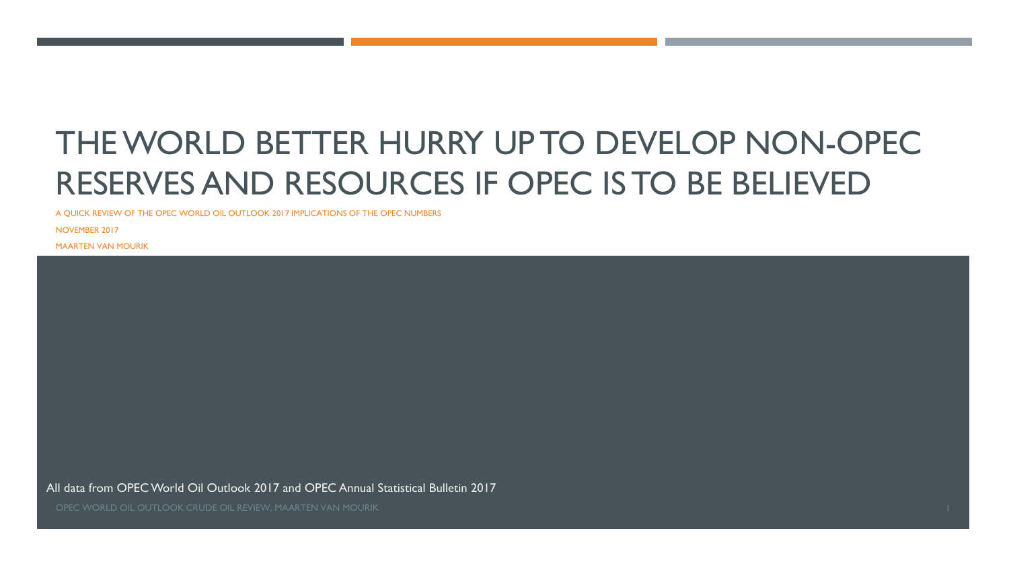# THEWORLD BETTER HURRY UP TO DEVELOP NON-OPEC RESERVES AND RESOURCES IF OPEC IS TO BE BELIEVED

A QUICK REVIEW OF THE OPEC WORLD OIL OUTLOOK 2017 IMPLICATIONS OF THE OPEC NUMBERS

NOVEMBER 2017

MAARTEN VAN MOURIK

All data from OPEC World Oil Outlook 2017 and OPEC Annual Statistical Bulletin 2017

OPEC WORLD OIL OUTLOOK CRUDE OIL REVIEW, MAARTEN VAN MOURIK 1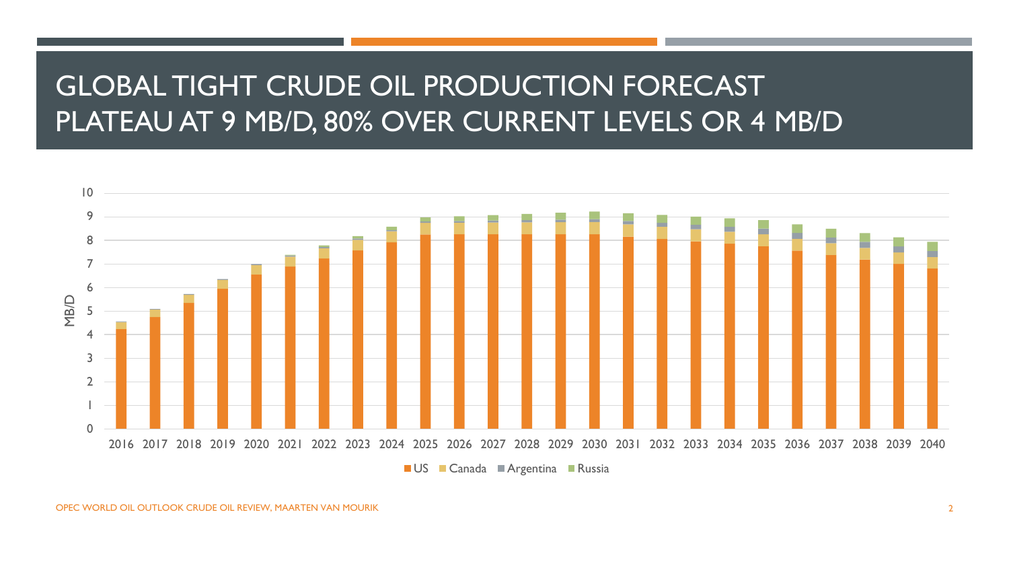### GLOBAL TIGHT CRUDE OIL PRODUCTION FORECAST PLATEAU AT 9 MB/D, 80% OVER CURRENT LEVELS OR 4 MB/D

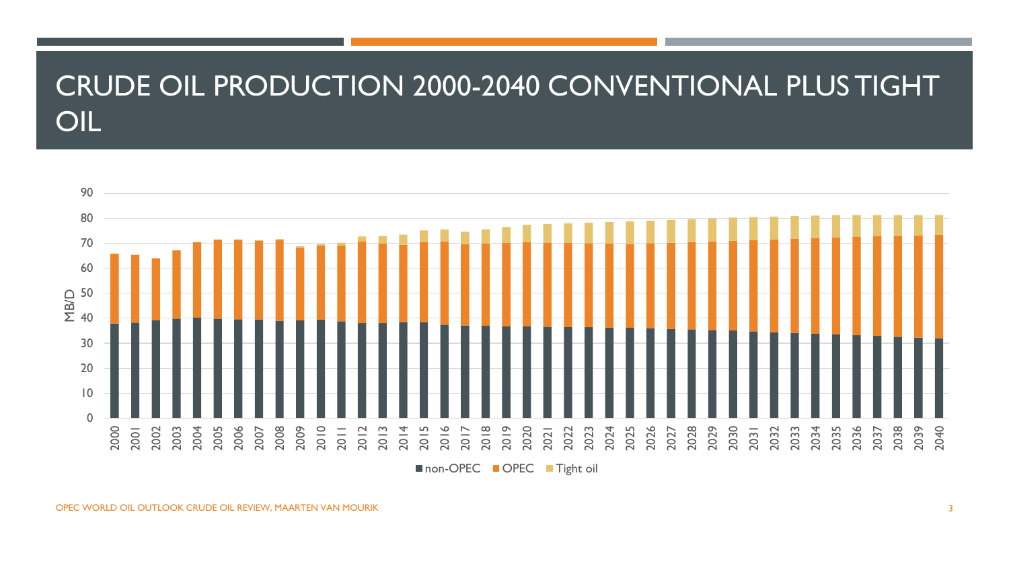#### CRUDE OIL PRODUCTION 2000-2040 CONVENTIONAL PLUS TIGHT OIL



non-OPEC OPEC Tight oil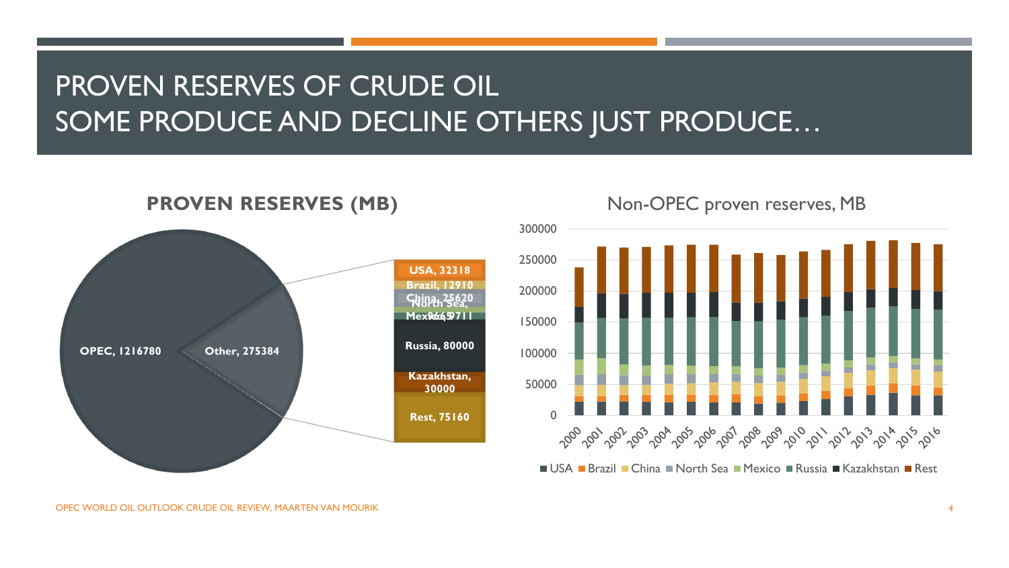## PROVEN RESERVES OF CRUDE OIL SOME PRODUCE AND DECLINE OTHERS JUST PRODUCE…



#### **PROVEN RESERVES (MB)**



USA Brazil China North Sea Mexico Russia Kazakhstan Rest